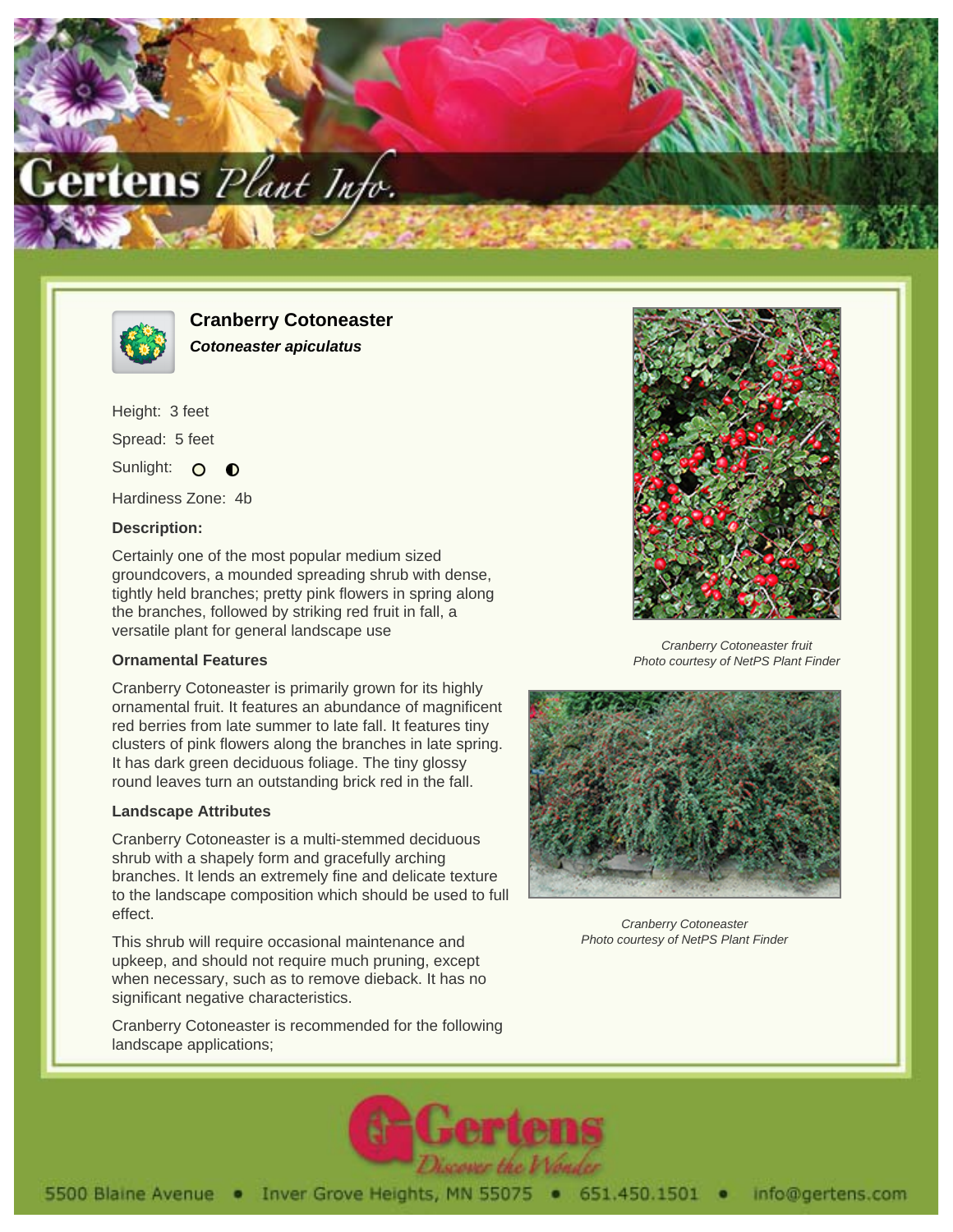



**Cranberry Cotoneaster Cotoneaster apiculatus**

Height: 3 feet Spread: 5 feet Sunlight: O

Hardiness Zone: 4b

## **Description:**

Certainly one of the most popular medium sized groundcovers, a mounded spreading shrub with dense, tightly held branches; pretty pink flowers in spring along the branches, followed by striking red fruit in fall, a versatile plant for general landscape use

## **Ornamental Features**

Cranberry Cotoneaster is primarily grown for its highly ornamental fruit. It features an abundance of magnificent red berries from late summer to late fall. It features tiny clusters of pink flowers along the branches in late spring. It has dark green deciduous foliage. The tiny glossy round leaves turn an outstanding brick red in the fall.

## **Landscape Attributes**

Cranberry Cotoneaster is a multi-stemmed deciduous shrub with a shapely form and gracefully arching branches. It lends an extremely fine and delicate texture to the landscape composition which should be used to full effect.

This shrub will require occasional maintenance and upkeep, and should not require much pruning, except when necessary, such as to remove dieback. It has no significant negative characteristics.

Cranberry Cotoneaster is recommended for the following landscape applications;



Cranberry Cotoneaster fruit Photo courtesy of NetPS Plant Finder



Cranberry Cotoneaster Photo courtesy of NetPS Plant Finder